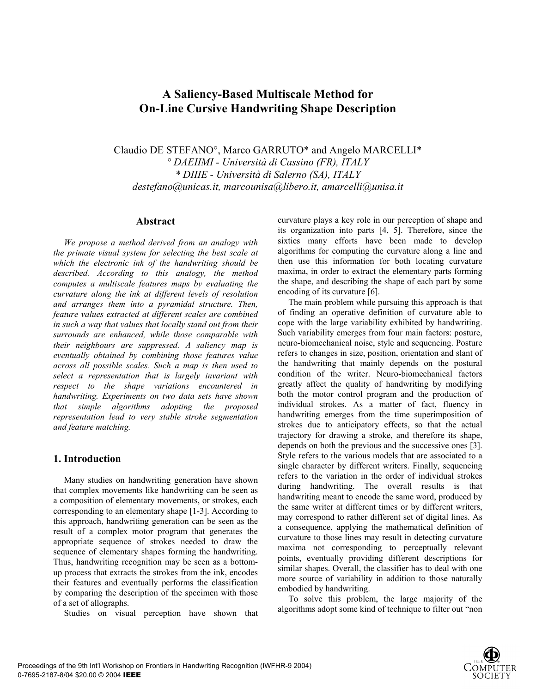# **A Saliency-Based Multiscale Method for On-Line Cursive Handwriting Shape Description**

Claudio DE STEFANO°, Marco GARRUTO\* and Angelo MARCELLI\* *° DAEIIMI - Università di Cassino (FR), ITALY \* DIIIE - Università di Salerno (SA), ITALY destefano@unicas.it, marcounisa@libero.it, amarcelli@unisa.it* 

#### **Abstract**

*We propose a method derived from an analogy with the primate visual system for selecting the best scale at which the electronic ink of the handwriting should be described. According to this analogy, the method computes a multiscale features maps by evaluating the curvature along the ink at different levels of resolution and arranges them into a pyramidal structure. Then, feature values extracted at different scales are combined in such a way that values that locally stand out from their surrounds are enhanced, while those comparable with their neighbours are suppressed. A saliency map is eventually obtained by combining those features value across all possible scales. Such a map is then used to select a representation that is largely invariant with respect to the shape variations encountered in handwriting. Experiments on two data sets have shown that simple algorithms adopting the proposed representation lead to very stable stroke segmentation and feature matching.* 

# **1. Introduction**

Many studies on handwriting generation have shown that complex movements like handwriting can be seen as a composition of elementary movements, or strokes, each corresponding to an elementary shape [1-3]. According to this approach, handwriting generation can be seen as the result of a complex motor program that generates the appropriate sequence of strokes needed to draw the sequence of elementary shapes forming the handwriting. Thus, handwriting recognition may be seen as a bottomup process that extracts the strokes from the ink, encodes their features and eventually performs the classification by comparing the description of the specimen with those of a set of allographs.

Studies on visual perception have shown that

curvature plays a key role in our perception of shape and its organization into parts [4, 5]. Therefore, since the sixties many efforts have been made to develop algorithms for computing the curvature along a line and then use this information for both locating curvature maxima, in order to extract the elementary parts forming the shape, and describing the shape of each part by some encoding of its curvature [6].

The main problem while pursuing this approach is that of finding an operative definition of curvature able to cope with the large variability exhibited by handwriting. Such variability emerges from four main factors: posture, neuro-biomechanical noise, style and sequencing. Posture refers to changes in size, position, orientation and slant of the handwriting that mainly depends on the postural condition of the writer. Neuro-biomechanical factors greatly affect the quality of handwriting by modifying both the motor control program and the production of individual strokes. As a matter of fact, fluency in handwriting emerges from the time superimposition of strokes due to anticipatory effects, so that the actual trajectory for drawing a stroke, and therefore its shape, depends on both the previous and the successive ones [3]. Style refers to the various models that are associated to a single character by different writers. Finally, sequencing refers to the variation in the order of individual strokes during handwriting. The overall results is that handwriting meant to encode the same word, produced by the same writer at different times or by different writers, may correspond to rather different set of digital lines. As a consequence, applying the mathematical definition of curvature to those lines may result in detecting curvature maxima not corresponding to perceptually relevant points, eventually providing different descriptions for similar shapes. Overall, the classifier has to deal with one more source of variability in addition to those naturally embodied by handwriting.

To solve this problem, the large majority of the algorithms adopt some kind of technique to filter out "non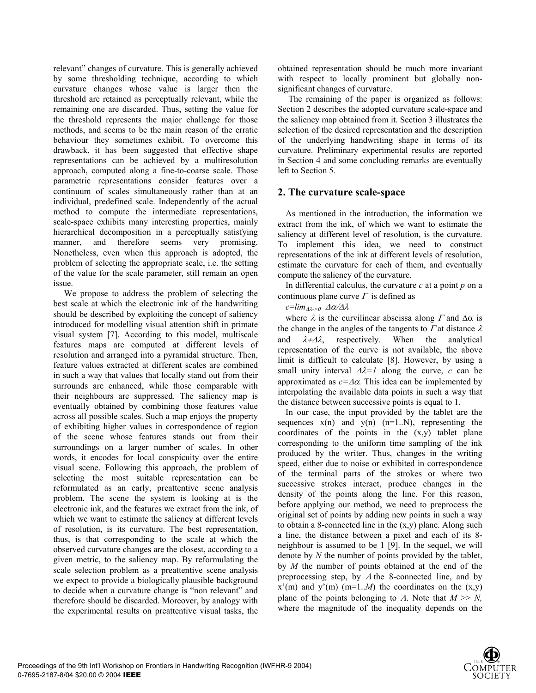relevant" changes of curvature. This is generally achieved by some thresholding technique, according to which curvature changes whose value is larger then the threshold are retained as perceptually relevant, while the remaining one are discarded. Thus, setting the value for the threshold represents the major challenge for those methods, and seems to be the main reason of the erratic behaviour they sometimes exhibit. To overcome this drawback, it has been suggested that effective shape representations can be achieved by a multiresolution approach, computed along a fine-to-coarse scale. Those parametric representations consider features over a continuum of scales simultaneously rather than at an individual, predefined scale. Independently of the actual method to compute the intermediate representations, scale-space exhibits many interesting properties, mainly hierarchical decomposition in a perceptually satisfying manner, and therefore seems very promising. Nonetheless, even when this approach is adopted, the problem of selecting the appropriate scale, i.e. the setting of the value for the scale parameter, still remain an open issue.

We propose to address the problem of selecting the best scale at which the electronic ink of the handwriting should be described by exploiting the concept of saliency introduced for modelling visual attention shift in primate visual system [7]. According to this model, multiscale features maps are computed at different levels of resolution and arranged into a pyramidal structure. Then, feature values extracted at different scales are combined in such a way that values that locally stand out from their surrounds are enhanced, while those comparable with their neighbours are suppressed. The saliency map is eventually obtained by combining those features value across all possible scales. Such a map enjoys the property of exhibiting higher values in correspondence of region of the scene whose features stands out from their surroundings on a larger number of scales. In other words, it encodes for local conspicuity over the entire visual scene. Following this approach, the problem of selecting the most suitable representation can be reformulated as an early, preattentive scene analysis problem. The scene the system is looking at is the electronic ink, and the features we extract from the ink, of which we want to estimate the saliency at different levels of resolution, is its curvature. The best representation, thus, is that corresponding to the scale at which the observed curvature changes are the closest, according to a given metric, to the saliency map. By reformulating the scale selection problem as a preattentive scene analysis we expect to provide a biologically plausible background to decide when a curvature change is "non relevant" and therefore should be discarded. Moreover, by analogy with the experimental results on preattentive visual tasks, the

obtained representation should be much more invariant with respect to locally prominent but globally nonsignificant changes of curvature.

The remaining of the paper is organized as follows: Section 2 describes the adopted curvature scale-space and the saliency map obtained from it. Section 3 illustrates the selection of the desired representation and the description of the underlying handwriting shape in terms of its curvature. Preliminary experimental results are reported in Section 4 and some concluding remarks are eventually left to Section 5.

# **2. The curvature scale-space**

As mentioned in the introduction, the information we extract from the ink, of which we want to estimate the saliency at different level of resolution, is the curvature. To implement this idea, we need to construct representations of the ink at different levels of resolution, estimate the curvature for each of them, and eventually compute the saliency of the curvature.

In differential calculus, the curvature *c* at a point *p* on a continuous plane curve  $\Gamma$  is defined as

*c*=*lim*∆λ*->0* ∆α/∆λ

where  $\lambda$  is the curvilinear abscissa along  $\Gamma$  and  $\Delta \alpha$  is the change in the angles of the tangents to  $\Gamma$  at distance  $\lambda$ and  $\lambda + \Delta \lambda$ , respectively. When the analytical representation of the curve is not available, the above limit is difficult to calculate [8]. However, by using a small unity interval  $\Delta \lambda = I$  along the curve, *c* can be approximated as *c=*∆α*.* This idea can be implemented by interpolating the available data points in such a way that the distance between successive points is equal to 1.

In our case, the input provided by the tablet are the sequences  $x(n)$  and  $y(n)$   $(n=1..N)$ , representing the coordinates of the points in the  $(x,y)$  tablet plane corresponding to the uniform time sampling of the ink produced by the writer. Thus, changes in the writing speed, either due to noise or exhibited in correspondence of the terminal parts of the strokes or where two successive strokes interact, produce changes in the density of the points along the line. For this reason, before applying our method, we need to preprocess the original set of points by adding new points in such a way to obtain a 8-connected line in the  $(x, y)$  plane. Along such a line, the distance between a pixel and each of its 8 neighbour is assumed to be 1 [9]. In the sequel, we will denote by *N* the number of points provided by the tablet, by *M* the number of points obtained at the end of the preprocessing step, by  $\Lambda$  the 8-connected line, and by  $x'(m)$  and  $y'(m)$  (m=1..*M*) the coordinates on the  $(x,y)$ plane of the points belonging to  $\Lambda$ . Note that  $M \gg N$ , where the magnitude of the inequality depends on the

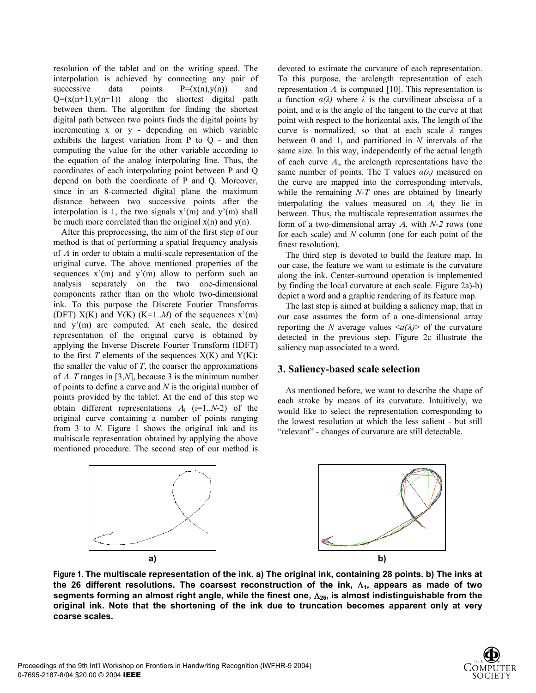resolution of the tablet and on the writing speed. The interpolation is achieved by connecting any pair of successive data points  $P=(x(n),y(n))$  and  $Q=(x(n+1),y(n+1))$  along the shortest digital path between them. The algorithm for finding the shortest digital path between two points finds the digital points by incrementing x or y - depending on which variable exhibits the largest variation from P to Q - and then computing the value for the other variable according to the equation of the analog interpolating line. Thus, the coordinates of each interpolating point between P and Q depend on both the coordinate of P and Q. Moreover, since in an 8-connected digital plane the maximum distance between two successive points after the interpolation is 1, the two signals  $x'(m)$  and  $y'(m)$  shall be much more correlated than the original  $x(n)$  and  $y(n)$ .

After this preprocessing, the aim of the first step of our method is that of performing a spatial frequency analysis of Λ in order to obtain a multi-scale representation of the original curve. The above mentioned properties of the sequences  $x'(m)$  and  $y'(m)$  allow to perform such an analysis separately on the two one-dimensional components rather than on the whole two-dimensional ink. To this purpose the Discrete Fourier Transforms (DFT)  $X(K)$  and  $Y(K)$  ( $K=1..M$ ) of the sequences  $x'(m)$ and  $y'(m)$  are computed. At each scale, the desired representation of the original curve is obtained by applying the Inverse Discrete Fourier Transform (IDFT) to the first  $T$  elements of the sequences  $X(K)$  and  $Y(K)$ : the smaller the value of  $T$ , the coarser the approximations of Λ. *T* ranges in [3,*N*], because 3 is the minimum number of points to define a curve and *N* is the original number of points provided by the tablet. At the end of this step we obtain different representations  $\Lambda_i$  (i=1..*N*-2) of the original curve containing a number of points ranging from 3 to *N*. Figure 1 shows the original ink and its multiscale representation obtained by applying the above mentioned procedure. The second step of our method is

devoted to estimate the curvature of each representation. To this purpose, the arclength representation of each representation  $\Lambda_i$  is computed [10]. This representation is a function  $\alpha(\lambda)$  where  $\lambda$  is the curvilinear abscissa of a point, and  $\alpha$  is the angle of the tangent to the curve at that point with respect to the horizontal axis. The length of the curve is normalized, so that at each scale *λ* ranges between 0 and 1, and partitioned in *N* intervals of the same size. In this way, independently of the actual length of each curve  $\Lambda_i$ , the arclength representations have the same number of points. The T values *α(λ)* measured on the curve are mapped into the corresponding intervals, while the remaining *N-T* ones are obtained by linearly interpolating the values measured on  $A_i$  they lie in between. Thus, the multiscale representation assumes the form of a two-dimensional array Α, with *N-2* rows (one for each scale) and *N* column (one for each point of the finest resolution).

The third step is devoted to build the feature map. In our case, the feature we want to estimate is the curvature along the ink. Center-surround operation is implemented by finding the local curvature at each scale. Figure 2a)-b) depict a word and a graphic rendering of its feature map.

The last step is aimed at building a saliency map, that in our case assumes the form of a one-dimensional array reporting the *N* average values  $\langle a/\lambda \rangle$  of the curvature detected in the previous step. Figure 2c illustrate the saliency map associated to a word.

#### **3. Saliency-based scale selection**

As mentioned before, we want to describe the shape of each stroke by means of its curvature. Intuitively, we would like to select the representation corresponding to the lowest resolution at which the less salient - but still "relevant" - changes of curvature are still detectable.



**Figure 1. The multiscale representation of the ink. a) The original ink, containing 28 points. b) The inks at the 26 different resolutions. The coarsest reconstruction of the ink,** Λ**1, appears as made of two segments forming an almost right angle, while the finest one,** Λ**26, is almost indistinguishable from the original ink. Note that the shortening of the ink due to truncation becomes apparent only at very coarse scales.** 

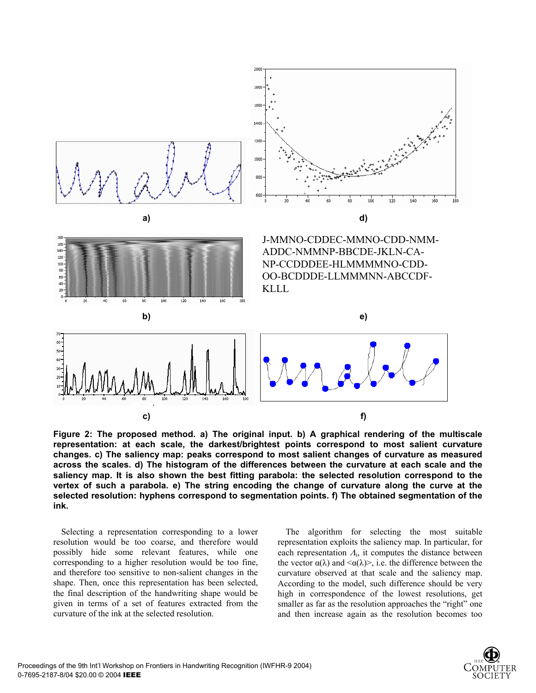

**Figure 2: The proposed method. a) The original input. b) A graphical rendering of the multiscale representation: at each scale, the darkest/brightest points correspond to most salient curvature changes. c) The saliency map: peaks correspond to most salient changes of curvature as measured across the scales. d) The histogram of the differences between the curvature at each scale and the saliency map. It is also shown the best fitting parabola: the selected resolution correspond to the vertex of such a parabola. e) The string encoding the change of curvature along the curve at the selected resolution: hyphens correspond to segmentation points. f) The obtained segmentation of the ink.** 

Selecting a representation corresponding to a lower resolution would be too coarse, and therefore would possibly hide some relevant features, while one corresponding to a higher resolution would be too fine, and therefore too sensitive to non-salient changes in the shape. Then, once this representation has been selected, the final description of the handwriting shape would be given in terms of a set of features extracted from the curvature of the ink at the selected resolution.

The algorithm for selecting the most suitable representation exploits the saliency map. In particular, for each representation  $\Lambda_i$ , it computes the distance between the vector  $\alpha(\lambda)$  and  $\langle \alpha(\lambda) \rangle$ , i.e. the difference between the curvature observed at that scale and the saliency map. According to the model, such difference should be very high in correspondence of the lowest resolutions, get smaller as far as the resolution approaches the "right" one and then increase again as the resolution becomes too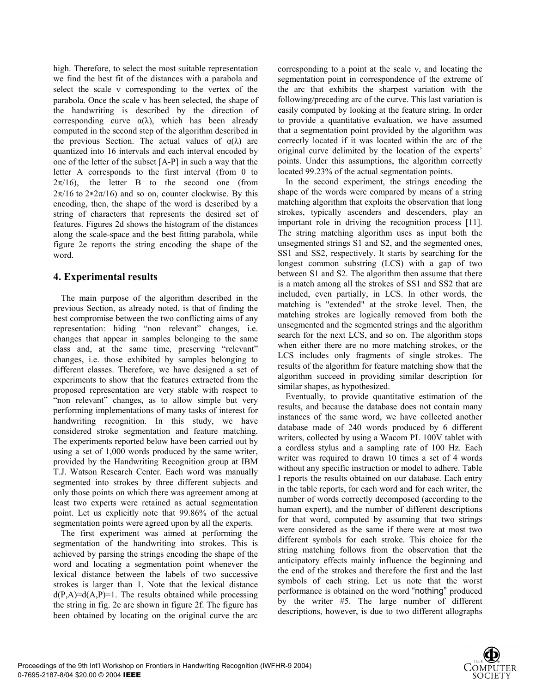high. Therefore, to select the most suitable representation we find the best fit of the distances with a parabola and select the scale ν corresponding to the vertex of the parabola. Once the scale ν has been selected, the shape of the handwriting is described by the direction of corresponding curve  $\alpha(\lambda)$ , which has been already computed in the second step of the algorithm described in the previous Section. The actual values of  $\alpha(\lambda)$  are quantized into 16 intervals and each interval encoded by one of the letter of the subset [A-P] in such a way that the letter A corresponds to the first interval (from 0 to  $2\pi/16$ ), the letter B to the second one (from  $2\pi/16$  to  $2*2\pi/16$ ) and so on, counter clockwise. By this encoding, then, the shape of the word is described by a string of characters that represents the desired set of features. Figures 2d shows the histogram of the distances along the scale-space and the best fitting parabola, while figure 2e reports the string encoding the shape of the word.

# **4. Experimental results**

The main purpose of the algorithm described in the previous Section, as already noted, is that of finding the best compromise between the two conflicting aims of any representation: hiding "non relevant" changes, i.e. changes that appear in samples belonging to the same class and, at the same time, preserving "relevant" changes, i.e. those exhibited by samples belonging to different classes. Therefore, we have designed a set of experiments to show that the features extracted from the proposed representation are very stable with respect to "non relevant" changes, as to allow simple but very performing implementations of many tasks of interest for handwriting recognition. In this study, we have considered stroke segmentation and feature matching. The experiments reported below have been carried out by using a set of 1,000 words produced by the same writer, provided by the Handwriting Recognition group at IBM T.J. Watson Research Center. Each word was manually segmented into strokes by three different subjects and only those points on which there was agreement among at least two experts were retained as actual segmentation point. Let us explicitly note that 99.86% of the actual segmentation points were agreed upon by all the experts.

The first experiment was aimed at performing the segmentation of the handwriting into strokes. This is achieved by parsing the strings encoding the shape of the word and locating a segmentation point whenever the lexical distance between the labels of two successive strokes is larger than 1. Note that the lexical distance  $d(P,A)=d(A,P)=1$ . The results obtained while processing the string in fig. 2e are shown in figure 2f. The figure has been obtained by locating on the original curve the arc corresponding to a point at the scale ν, and locating the segmentation point in correspondence of the extreme of the arc that exhibits the sharpest variation with the following/preceding arc of the curve. This last variation is easily computed by looking at the feature string. In order to provide a quantitative evaluation, we have assumed that a segmentation point provided by the algorithm was correctly located if it was located within the arc of the original curve delimited by the location of the experts' points. Under this assumptions, the algorithm correctly located 99.23% of the actual segmentation points.

In the second experiment, the strings encoding the shape of the words were compared by means of a string matching algorithm that exploits the observation that long strokes, typically ascenders and descenders, play an important role in driving the recognition process [11]. The string matching algorithm uses as input both the unsegmented strings S1 and S2, and the segmented ones, SS1 and SS2, respectively. It starts by searching for the longest common substring (LCS) with a gap of two between S1 and S2. The algorithm then assume that there is a match among all the strokes of SS1 and SS2 that are included, even partially, in LCS. In other words, the matching is "extended" at the stroke level. Then, the matching strokes are logically removed from both the unsegmented and the segmented strings and the algorithm search for the next LCS, and so on. The algorithm stops when either there are no more matching strokes, or the LCS includes only fragments of single strokes. The results of the algorithm for feature matching show that the algorithm succeed in providing similar description for similar shapes, as hypothesized.

Eventually, to provide quantitative estimation of the results, and because the database does not contain many instances of the same word, we have collected another database made of 240 words produced by 6 different writers, collected by using a Wacom PL 100V tablet with a cordless stylus and a sampling rate of 100 Hz. Each writer was required to drawn 10 times a set of 4 words without any specific instruction or model to adhere. Table I reports the results obtained on our database. Each entry in the table reports, for each word and for each writer, the number of words correctly decomposed (according to the human expert), and the number of different descriptions for that word, computed by assuming that two strings were considered as the same if there were at most two different symbols for each stroke. This choice for the string matching follows from the observation that the anticipatory effects mainly influence the beginning and the end of the strokes and therefore the first and the last symbols of each string. Let us note that the worst performance is obtained on the word "nothing" produced by the writer #5. The large number of different descriptions, however, is due to two different allographs